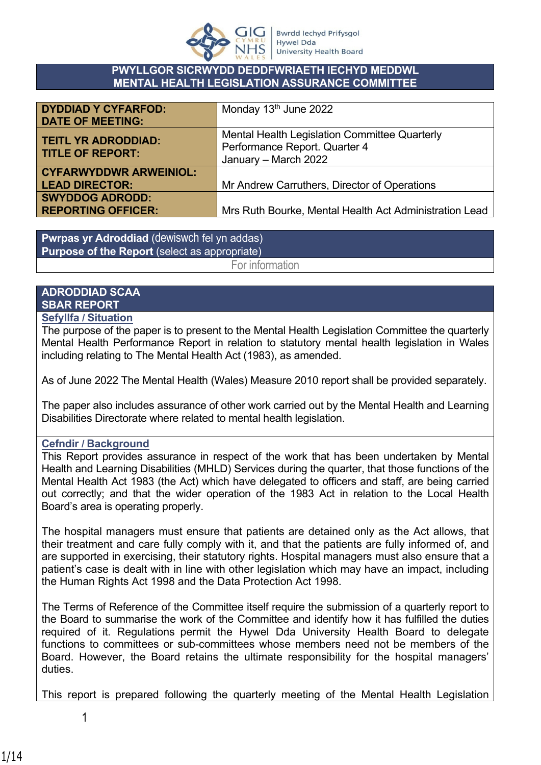

#### **PWYLLGOR SICRWYDD DEDDFWRIAETH IECHYD MEDDWL MENTAL HEALTH LEGISLATION ASSURANCE COMMITTEE**

| <b>DYDDIAD Y CYFARFOD:</b><br><b>DATE OF MEETING:</b>  | Monday 13 <sup>th</sup> June 2022                                                                      |
|--------------------------------------------------------|--------------------------------------------------------------------------------------------------------|
| <b>TEITL YR ADRODDIAD:</b><br><b>TITLE OF REPORT:</b>  | Mental Health Legislation Committee Quarterly<br>Performance Report. Quarter 4<br>January - March 2022 |
| <b>CYFARWYDDWR ARWEINIOL:</b><br><b>LEAD DIRECTOR:</b> | Mr Andrew Carruthers, Director of Operations                                                           |
| <b>SWYDDOG ADRODD:</b><br><b>REPORTING OFFICER:</b>    | Mrs Ruth Bourke, Mental Health Act Administration Lead                                                 |

**Pwrpas yr Adroddiad** (dewiswch fel yn addas) **Purpose of the Report** (select as appropriate)

For information

# **ADRODDIAD SCAA SBAR REPORT**

### **Sefyllfa / Situation**

The purpose of the paper is to present to the Mental Health Legislation Committee the quarterly Mental Health Performance Report in relation to statutory mental health legislation in Wales including relating to The Mental Health Act (1983), as amended.

As of June 2022 The Mental Health (Wales) Measure 2010 report shall be provided separately.

The paper also includes assurance of other work carried out by the Mental Health and Learning Disabilities Directorate where related to mental health legislation.

# **Cefndir / Background**

This Report provides assurance in respect of the work that has been undertaken by Mental Health and Learning Disabilities (MHLD) Services during the quarter, that those functions of the Mental Health Act 1983 (the Act) which have delegated to officers and staff, are being carried out correctly; and that the wider operation of the 1983 Act in relation to the Local Health Board's area is operating properly.

The hospital managers must ensure that patients are detained only as the Act allows, that their treatment and care fully comply with it, and that the patients are fully informed of, and are supported in exercising, their statutory rights. Hospital managers must also ensure that a patient's case is dealt with in line with other legislation which may have an impact, including the Human Rights Act 1998 and the Data Protection Act 1998.

The Terms of Reference of the Committee itself require the submission of a quarterly report to the Board to summarise the work of the Committee and identify how it has fulfilled the duties required of it. Regulations permit the Hywel Dda University Health Board to delegate functions to committees or sub-committees whose members need not be members of the Board. However, the Board retains the ultimate responsibility for the hospital managers' duties.

This report is prepared following the quarterly meeting of the Mental Health Legislation

1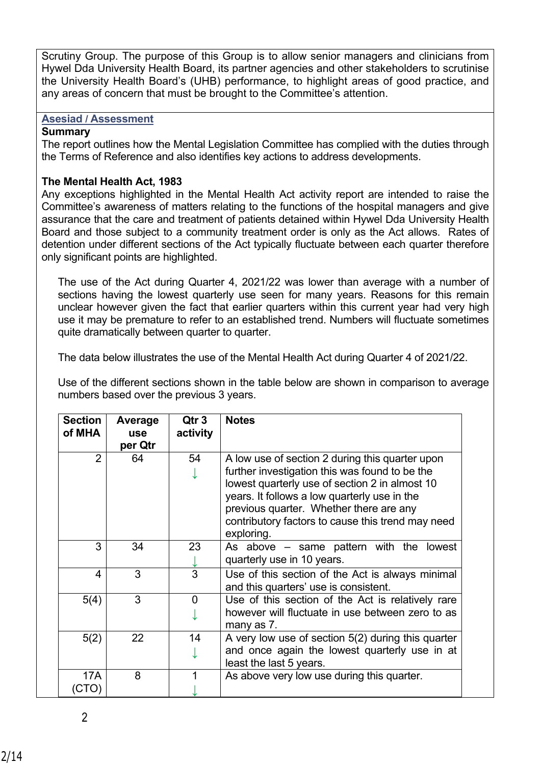Scrutiny Group. The purpose of this Group is to allow senior managers and clinicians from Hywel Dda University Health Board, its partner agencies and other stakeholders to scrutinise the University Health Board's (UHB) performance, to highlight areas of good practice, and any areas of concern that must be brought to the Committee's attention.

#### **Asesiad / Assessment**

#### **Summary**

The report outlines how the Mental Legislation Committee has complied with the duties through the Terms of Reference and also identifies key actions to address developments.

#### **The Mental Health Act, 1983**

Any exceptions highlighted in the Mental Health Act activity report are intended to raise the Committee's awareness of matters relating to the functions of the hospital managers and give assurance that the care and treatment of patients detained within Hywel Dda University Health Board and those subject to a community treatment order is only as the Act allows. Rates of detention under different sections of the Act typically fluctuate between each quarter therefore only significant points are highlighted.

The use of the Act during Quarter 4, 2021/22 was lower than average with a number of sections having the lowest quarterly use seen for many years. Reasons for this remain unclear however given the fact that earlier quarters within this current year had very high use it may be premature to refer to an established trend. Numbers will fluctuate sometimes quite dramatically between quarter to quarter.

The data below illustrates the use of the Mental Health Act during Quarter 4 of 2021/22.

Use of the different sections shown in the table below are shown in comparison to average numbers based over the previous 3 years.

| <b>Section</b><br>of MHA | Average<br><b>use</b><br>per Qtr | Qtr <sub>3</sub><br>activity | <b>Notes</b>                                                                                                                                                                                                                                                                                                      |
|--------------------------|----------------------------------|------------------------------|-------------------------------------------------------------------------------------------------------------------------------------------------------------------------------------------------------------------------------------------------------------------------------------------------------------------|
| $\overline{2}$           | 64                               | 54                           | A low use of section 2 during this quarter upon<br>further investigation this was found to be the<br>lowest quarterly use of section 2 in almost 10<br>years. It follows a low quarterly use in the<br>previous quarter. Whether there are any<br>contributory factors to cause this trend may need<br>exploring. |
| 3                        | 34                               | 23                           | As above $-$ same pattern with the lowest<br>quarterly use in 10 years.                                                                                                                                                                                                                                           |
| 4                        | 3                                | 3                            | Use of this section of the Act is always minimal<br>and this quarters' use is consistent.                                                                                                                                                                                                                         |
| 5(4)                     | 3                                | 0                            | Use of this section of the Act is relatively rare<br>however will fluctuate in use between zero to as<br>many as 7.                                                                                                                                                                                               |
| 5(2)                     | 22                               | 14                           | A very low use of section 5(2) during this quarter<br>and once again the lowest quarterly use in at<br>least the last 5 years.                                                                                                                                                                                    |
| 17A<br>(CTO)             | 8                                |                              | As above very low use during this quarter.                                                                                                                                                                                                                                                                        |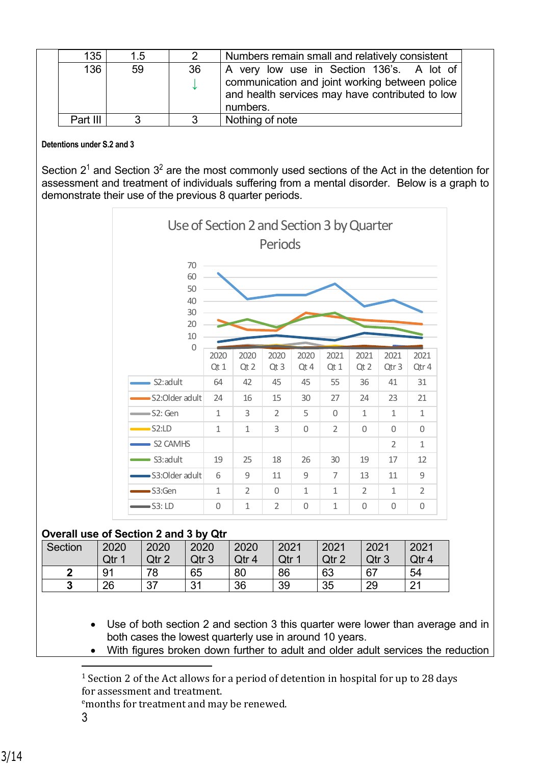| 135      | 1.5 |    | Numbers remain small and relatively consistent                                                                |  |
|----------|-----|----|---------------------------------------------------------------------------------------------------------------|--|
| 136      | 59  | 36 | A very low use in Section 136's. A lot of                                                                     |  |
|          |     |    | communication and joint working between police<br>and health services may have contributed to low<br>numbers. |  |
| Part III | 2   |    | Nothing of note                                                                                               |  |

#### **Detentions under S.2 and 3**

Section  $2<sup>1</sup>$  and Section  $3<sup>2</sup>$  are the most commonly used sections of the Act in the detention for assessment and treatment of individuals suffering from a mental disorder. Below is a graph to demonstrate their use of the previous 8 quarter periods.



<sup>&</sup>lt;sup>1</sup> Section 2 of the Act allows for a period of detention in hospital for up to 28 days for assessment and treatment.

<sup>e</sup>months for treatment and may be renewed.

3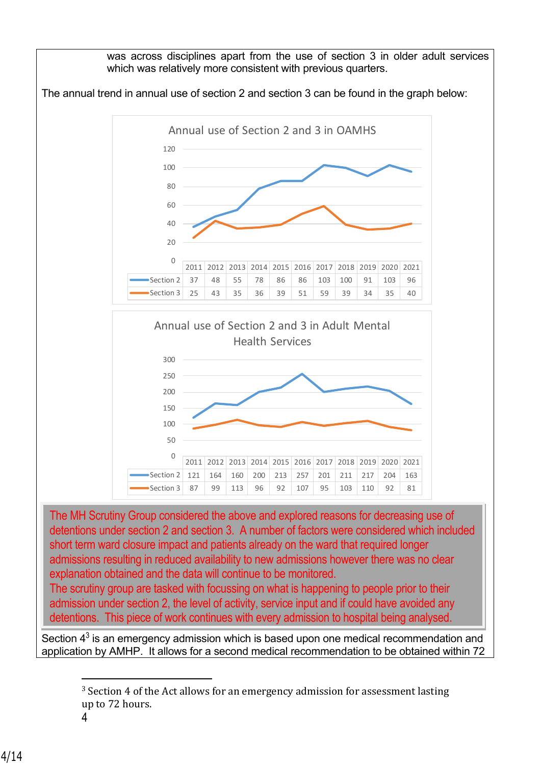

The scrutiny group are tasked with focussing on what is happening to people prior to their admission under section 2, the level of activity, service input and if could have avoided any detentions. This piece of work continues with every admission to hospital being analysed.

Section  $4<sup>3</sup>$  is an emergency admission which is based upon one medical recommendation and application by AMHP. It allows for a second medical recommendation to be obtained within 72

<sup>&</sup>lt;sup>3</sup> Section 4 of the Act allows for an emergency admission for assessment lasting up to 72 hours.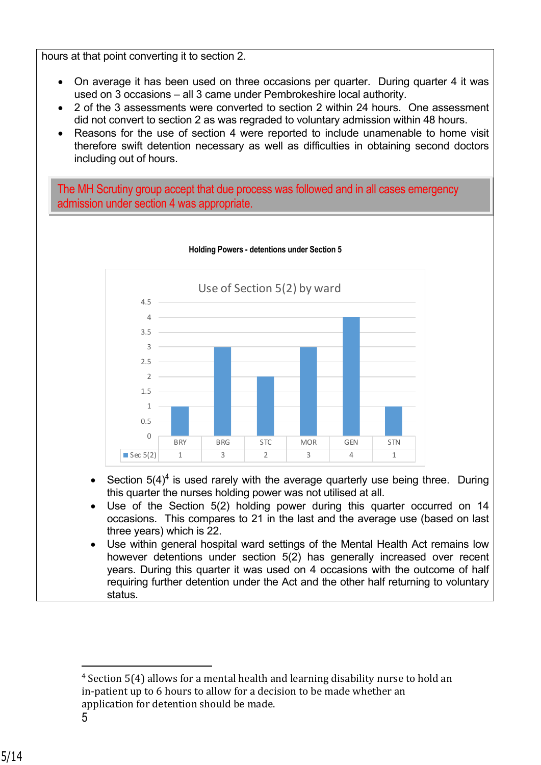hours at that point converting it to section 2.

- On average it has been used on three occasions per quarter. During quarter 4 it was used on 3 occasions – all 3 came under Pembrokeshire local authority.
- 2 of the 3 assessments were converted to section 2 within 24 hours. One assessment did not convert to section 2 as was regraded to voluntary admission within 48 hours.
- Reasons for the use of section 4 were reported to include unamenable to home visit therefore swift detention necessary as well as difficulties in obtaining second doctors including out of hours.

The MH Scrutiny group accept that due process was followed and in all cases emergency admission under section 4 was appropriate.



#### **Holding Powers - detentions under Section 5**

- Section  $5(4)^4$  is used rarely with the average quarterly use being three. During this quarter the nurses holding power was not utilised at all.
- Use of the Section 5(2) holding power during this quarter occurred on 14 occasions. This compares to 21 in the last and the average use (based on last three years) which is 22.
- Use within general hospital ward settings of the Mental Health Act remains low however detentions under section 5(2) has generally increased over recent years. During this quarter it was used on 4 occasions with the outcome of half requiring further detention under the Act and the other half returning to voluntary status.

<sup>4</sup> Section 5(4) allows for a mental health and learning disability nurse to hold an in-patient up to 6 hours to allow for a decision to be made whether an application for detention should be made.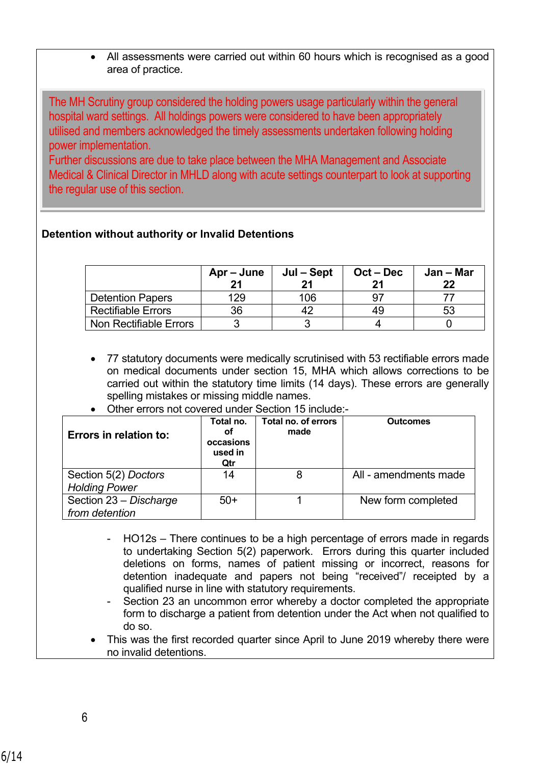• All assessments were carried out within 60 hours which is recognised as a good area of practice.

The MH Scrutiny group considered the holding powers usage particularly within the general hospital ward settings. All holdings powers were considered to have been appropriately utilised and members acknowledged the timely assessments undertaken following holding power implementation.

Further discussions are due to take place between the MHA Management and Associate Medical & Clinical Director in MHLD along with acute settings counterpart to look at supporting the regular use of this section.

# **Detention without authority or Invalid Detentions**

|                           | Apr – June<br>21 | Jul – Sept | $Oct - Dec$ | Jan – Mar<br>22 |
|---------------------------|------------------|------------|-------------|-----------------|
| <b>Detention Papers</b>   | 129              | 106        |             |                 |
| <b>Rectifiable Errors</b> | 36               |            | 49          | 53              |
| Non Rectifiable Errors    |                  |            |             |                 |

- 77 statutory documents were medically scrutinised with 53 rectifiable errors made on medical documents under section 15, MHA which allows corrections to be carried out within the statutory time limits (14 days). These errors are generally spelling mistakes or missing middle names.
- Other errors not covered under Section 15 include:-

| <b>Errors in relation to:</b>                | Total no.<br>οf<br>occasions<br>used in<br>Qtr | Total no. of errors<br>made | <b>Outcomes</b>       |
|----------------------------------------------|------------------------------------------------|-----------------------------|-----------------------|
| Section 5(2) Doctors<br><b>Holding Power</b> | 14                                             | 8                           | All - amendments made |
| Section 23 - Discharge<br>from detention     | $50+$                                          |                             | New form completed    |

- HO12s There continues to be a high percentage of errors made in regards to undertaking Section 5(2) paperwork. Errors during this quarter included deletions on forms, names of patient missing or incorrect, reasons for detention inadequate and papers not being "received"/ receipted by a qualified nurse in line with statutory requirements.
- Section 23 an uncommon error whereby a doctor completed the appropriate form to discharge a patient from detention under the Act when not qualified to do so.
- This was the first recorded quarter since April to June 2019 whereby there were no invalid detentions.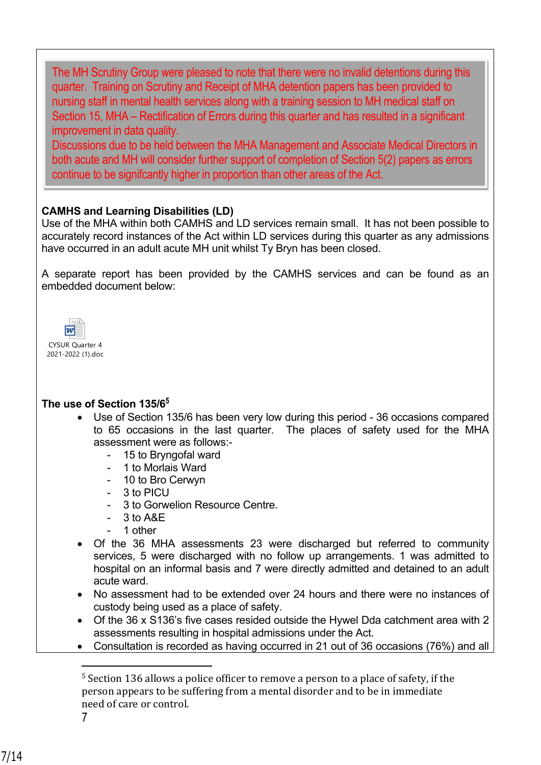The MH Scrutiny Group were pleased to note that there were no invalid detentions during this quarter. Training on Scrutiny and Receipt of MHA detention papers has been provided to nursing staff in mental health services along with a training session to MH medical staff on Section 15, MHA – Rectification of Errors during this quarter and has resulted in a significant improvement in data quality.

Discussions due to be held between the MHA Management and Associate Medical Directors in both acute and MH will consider further support of completion of Section 5(2) papers as errors continue to be signifcantly higher in proportion than other areas of the Act.

# **CAMHS and Learning Disabilities (LD)**

Use of the MHA within both CAMHS and LD services remain small. It has not been possible to accurately record instances of the Act within LD services during this quarter as any admissions have occurred in an adult acute MH unit whilst Ty Bryn has been closed.

A separate report has been provided by the CAMHS services and can be found as an embedded document below:



# **The use of Section 135/6<sup>5</sup>**

- Use of Section 135/6 has been very low during this period 36 occasions compared to 65 occasions in the last quarter. The places of safety used for the MHA assessment were as follows:-
	- 15 to Bryngofal ward
	- 1 to Morlais Ward
	- 10 to Bro Cerwyn
	- 3 to PICU
	- 3 to Gorwelion Resource Centre.
	- 3 to A&E
	- 1 other
- Of the 36 MHA assessments 23 were discharged but referred to community services, 5 were discharged with no follow up arrangements. 1 was admitted to hospital on an informal basis and 7 were directly admitted and detained to an adult acute ward.
- No assessment had to be extended over 24 hours and there were no instances of custody being used as a place of safety.
- Of the 36 x S136's five cases resided outside the Hywel Dda catchment area with 2 assessments resulting in hospital admissions under the Act.
- Consultation is recorded as having occurred in 21 out of 36 occasions (76%) and all

7

<sup>&</sup>lt;sup>5</sup> Section 136 allows a police officer to remove a person to a place of safety, if the person appears to be suffering from a mental disorder and to be in immediate need of care or control.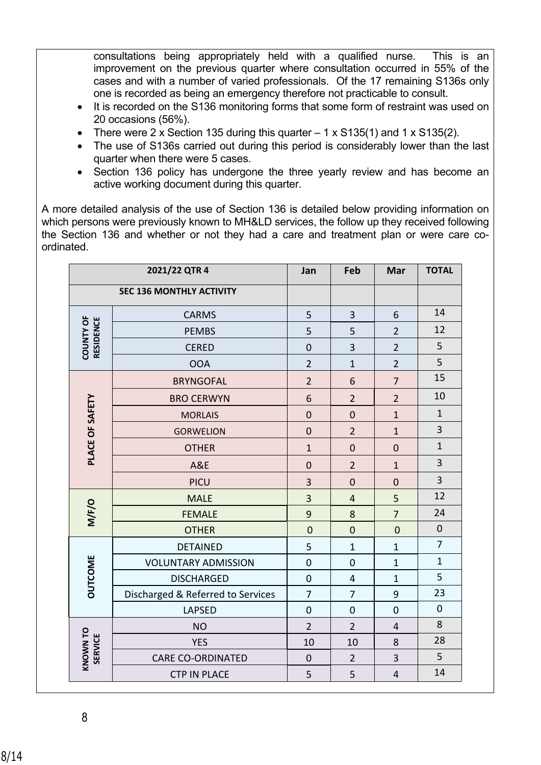consultations being appropriately held with a qualified nurse. This is an improvement on the previous quarter where consultation occurred in 55% of the cases and with a number of varied professionals. Of the 17 remaining S136s only one is recorded as being an emergency therefore not practicable to consult.

- It is recorded on the S136 monitoring forms that some form of restraint was used on 20 occasions (56%).
- There were 2 x Section 135 during this quarter  $-1$  x S135(1) and 1 x S135(2).
- The use of S136s carried out during this period is considerably lower than the last quarter when there were 5 cases.
- Section 136 policy has undergone the three yearly review and has become an active working document during this quarter.

A more detailed analysis of the use of Section 136 is detailed below providing information on which persons were previously known to MH&LD services, the follow up they received following the Section 136 and whether or not they had a care and treatment plan or were care coordinated.

|                               | 2021/22 QTR 4                     | Jan              | Feb              | Mar            | <b>TOTAL</b>            |
|-------------------------------|-----------------------------------|------------------|------------------|----------------|-------------------------|
|                               | <b>SEC 136 MONTHLY ACTIVITY</b>   |                  |                  |                |                         |
|                               | <b>CARMS</b>                      | 5                | 3                | 6              | 14                      |
|                               | <b>PEMBS</b>                      | 5                | 5                | $\overline{2}$ | 12                      |
| <b>COUNTY OF</b><br>RESIDENCE | <b>CERED</b>                      | $\mathbf 0$      | 3                | $\overline{2}$ | 5                       |
|                               | <b>OOA</b>                        | $\overline{2}$   | $\mathbf{1}$     | $\overline{2}$ | 5                       |
|                               | <b>BRYNGOFAL</b>                  | $\overline{2}$   | 6                | $\overline{7}$ | 15                      |
|                               | <b>BRO CERWYN</b>                 | 6                | $\overline{2}$   | $\overline{2}$ | 10                      |
|                               | <b>MORLAIS</b>                    | $\overline{0}$   | $\mathbf 0$      | $\overline{1}$ | $\mathbf{1}$            |
|                               | <b>GORWELION</b>                  | $\mathbf 0$      | $\overline{2}$   | $\mathbf{1}$   | $\overline{\mathbf{3}}$ |
| PLACE OF SAFETY               | <b>OTHER</b>                      | $\overline{1}$   | $\mathbf 0$      | $\mathbf 0$    | $1\,$                   |
|                               | A&E                               | $\mathbf 0$      | $\overline{2}$   | $\mathbf{1}$   | 3                       |
|                               | <b>PICU</b>                       | 3                | $\mathbf 0$      | $\mathbf 0$    | 3                       |
|                               | <b>MALE</b>                       | 3                | $\overline{4}$   | 5              | 12                      |
| M/F/O                         | <b>FEMALE</b>                     | 9                | 8                | $\overline{7}$ | 24                      |
|                               | <b>OTHER</b>                      | $\mathbf 0$      | $\mathbf 0$      | $\mathbf 0$    | $\pmb{0}$               |
|                               | <b>DETAINED</b>                   | 5                | $\mathbf{1}$     | $\mathbf{1}$   | $\overline{7}$          |
| OUTCOME                       | <b>VOLUNTARY ADMISSION</b>        | $\mathbf 0$      | $\mathbf 0$      | $\mathbf{1}$   | $\mathbf 1$             |
|                               | <b>DISCHARGED</b>                 | $\mathbf 0$      | $\overline{4}$   | $\mathbf{1}$   | 5                       |
|                               | Discharged & Referred to Services | $\overline{7}$   | $\overline{7}$   | 9              | 23                      |
|                               | <b>LAPSED</b>                     | $\boldsymbol{0}$ | $\boldsymbol{0}$ | $\mathbf 0$    | $\mathbf 0$             |
|                               | <b>NO</b>                         | $\overline{2}$   | $\overline{2}$   | $\overline{4}$ | 8                       |
| <b>SERVICE</b>                | <b>YES</b>                        | 10               | 10               | 8              | 28                      |
| KNOWN TO                      | <b>CARE CO-ORDINATED</b>          | $\mathbf 0$      | $\overline{2}$   | 3              | 5                       |
|                               | <b>CTP IN PLACE</b>               | 5                | 5                | $\sqrt{4}$     | 14                      |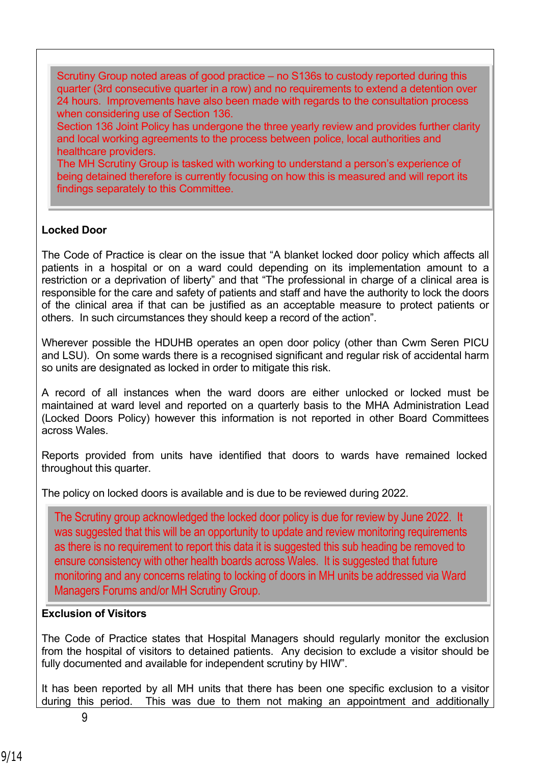Scrutiny Group noted areas of good practice – no S136s to custody reported during this quarter (3rd consecutive quarter in a row) and no requirements to extend a detention over 24 hours. Improvements have also been made with regards to the consultation process when considering use of Section 136.

Section 136 Joint Policy has undergone the three yearly review and provides further clarity and local working agreements to the process between police, local authorities and healthcare providers.

The MH Scrutiny Group is tasked with working to understand a person's experience of being detained therefore is currently focusing on how this is measured and will report its findings separately to this Committee.

# **Locked Door**

The Code of Practice is clear on the issue that "A blanket locked door policy which affects all patients in a hospital or on a ward could depending on its implementation amount to a restriction or a deprivation of liberty" and that "The professional in charge of a clinical area is responsible for the care and safety of patients and staff and have the authority to lock the doors of the clinical area if that can be justified as an acceptable measure to protect patients or others. In such circumstances they should keep a record of the action".

Wherever possible the HDUHB operates an open door policy (other than Cwm Seren PICU and LSU). On some wards there is a recognised significant and regular risk of accidental harm so units are designated as locked in order to mitigate this risk.

A record of all instances when the ward doors are either unlocked or locked must be maintained at ward level and reported on a quarterly basis to the MHA Administration Lead (Locked Doors Policy) however this information is not reported in other Board Committees across Wales.

Reports provided from units have identified that doors to wards have remained locked throughout this quarter.

The policy on locked doors is available and is due to be reviewed during 2022.

The Scrutiny group acknowledged the locked door policy is due for review by June 2022. It was suggested that this will be an opportunity to update and review monitoring requirements as there is no requirement to report this data it is suggested this sub heading be removed to ensure consistency with other health boards across Wales. It is suggested that future monitoring and any concerns relating to locking of doors in MH units be addressed via Ward Managers Forums and/or MH Scrutiny Group.

#### **Exclusion of Visitors**

The Code of Practice states that Hospital Managers should regularly monitor the exclusion from the hospital of visitors to detained patients. Any decision to exclude a visitor should be fully documented and available for independent scrutiny by HIW".

It has been reported by all MH units that there has been one specific exclusion to a visitor during this period. This was due to them not making an appointment and additionally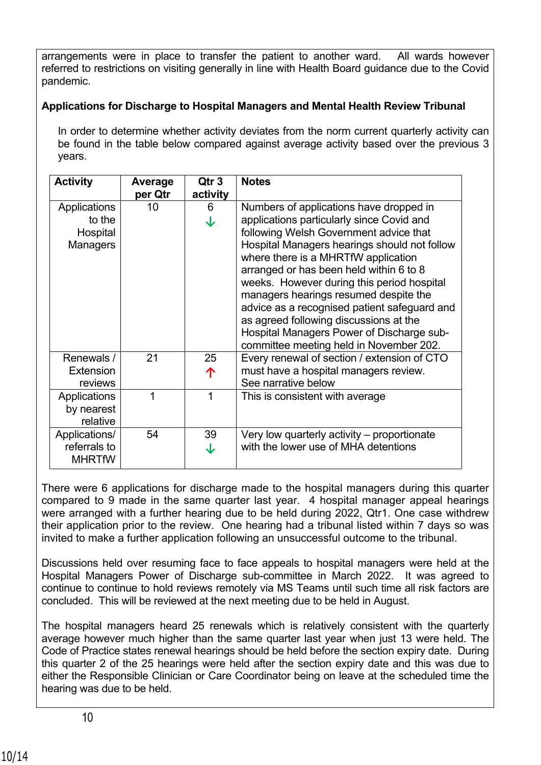arrangements were in place to transfer the patient to another ward. All wards however referred to restrictions on visiting generally in line with Health Board guidance due to the Covid pandemic.

# **Applications for Discharge to Hospital Managers and Mental Health Review Tribunal**

In order to determine whether activity deviates from the norm current quarterly activity can be found in the table below compared against average activity based over the previous 3 years.

| <b>Activity</b>  | Average | Qtr 3    | <b>Notes</b>                                 |
|------------------|---------|----------|----------------------------------------------|
|                  | per Qtr | activity |                                              |
| Applications     | 10      | 6        | Numbers of applications have dropped in      |
| to the           |         | ↓        | applications particularly since Covid and    |
| Hospital         |         |          | following Welsh Government advice that       |
| Managers         |         |          | Hospital Managers hearings should not follow |
|                  |         |          | where there is a MHRTfW application          |
|                  |         |          | arranged or has been held within 6 to 8      |
|                  |         |          | weeks. However during this period hospital   |
|                  |         |          | managers hearings resumed despite the        |
|                  |         |          | advice as a recognised patient safeguard and |
|                  |         |          | as agreed following discussions at the       |
|                  |         |          | Hospital Managers Power of Discharge sub-    |
|                  |         |          | committee meeting held in November 202.      |
| Renewals /       | 21      | 25       | Every renewal of section / extension of CTO  |
| <b>Extension</b> |         | 个        | must have a hospital managers review.        |
| reviews          |         |          | See narrative below                          |
| Applications     |         | 1        | This is consistent with average              |
| by nearest       |         |          |                                              |
| relative         |         |          |                                              |
| Applications/    | 54      | 39       | Very low quarterly activity – proportionate  |
| referrals to     |         | J        | with the lower use of MHA detentions         |
| <b>MHRTfW</b>    |         |          |                                              |

There were 6 applications for discharge made to the hospital managers during this quarter compared to 9 made in the same quarter last year. 4 hospital manager appeal hearings were arranged with a further hearing due to be held during 2022, Qtr1. One case withdrew their application prior to the review. One hearing had a tribunal listed within 7 days so was invited to make a further application following an unsuccessful outcome to the tribunal.

Discussions held over resuming face to face appeals to hospital managers were held at the Hospital Managers Power of Discharge sub-committee in March 2022. It was agreed to continue to continue to hold reviews remotely via MS Teams until such time all risk factors are concluded. This will be reviewed at the next meeting due to be held in August.

The hospital managers heard 25 renewals which is relatively consistent with the quarterly average however much higher than the same quarter last year when just 13 were held. The Code of Practice states renewal hearings should be held before the section expiry date. During this quarter 2 of the 25 hearings were held after the section expiry date and this was due to either the Responsible Clinician or Care Coordinator being on leave at the scheduled time the hearing was due to be held.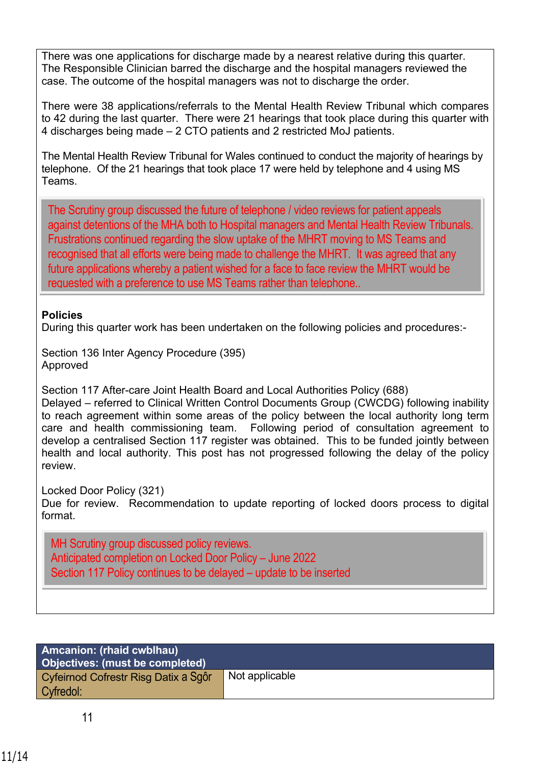There was one applications for discharge made by a nearest relative during this quarter. The Responsible Clinician barred the discharge and the hospital managers reviewed the case. The outcome of the hospital managers was not to discharge the order.

There were 38 applications/referrals to the Mental Health Review Tribunal which compares to 42 during the last quarter. There were 21 hearings that took place during this quarter with 4 discharges being made – 2 CTO patients and 2 restricted MoJ patients.

The Mental Health Review Tribunal for Wales continued to conduct the majority of hearings by telephone. Of the 21 hearings that took place 17 were held by telephone and 4 using MS Teams.

The Scrutiny group discussed the future of telephone / video reviews for patient appeals against detentions of the MHA both to Hospital managers and Mental Health Review Tribunals. Frustrations continued regarding the slow uptake of the MHRT moving to MS Teams and recognised that all efforts were being made to challenge the MHRT. It was agreed that any future applications whereby a patient wished for a face to face review the MHRT would be requested with a preference to use MS Teams rather than telephone..

# **Policies**

During this quarter work has been undertaken on the following policies and procedures:-

Section 136 Inter Agency Procedure (395) Approved

Section 117 After-care Joint Health Board and Local Authorities Policy (688) Delayed – referred to Clinical Written Control Documents Group (CWCDG) following inability to reach agreement within some areas of the policy between the local authority long term care and health commissioning team. Following period of consultation agreement to develop a centralised Section 117 register was obtained. This to be funded jointly between health and local authority. This post has not progressed following the delay of the policy review.

Locked Door Policy (321)

Due for review. Recommendation to update reporting of locked doors process to digital format.

MH Scrutiny group discussed policy reviews. Anticipated completion on Locked Door Policy – June 2022 Section 117 Policy continues to be delayed – update to be inserted

| <b>Amcanion: (rhaid cwblhau)</b><br>Objectives: (must be completed) |                |
|---------------------------------------------------------------------|----------------|
| Cyfeirnod Cofrestr Risg Datix a Sgôr<br>Cyfredol:                   | Not applicable |

.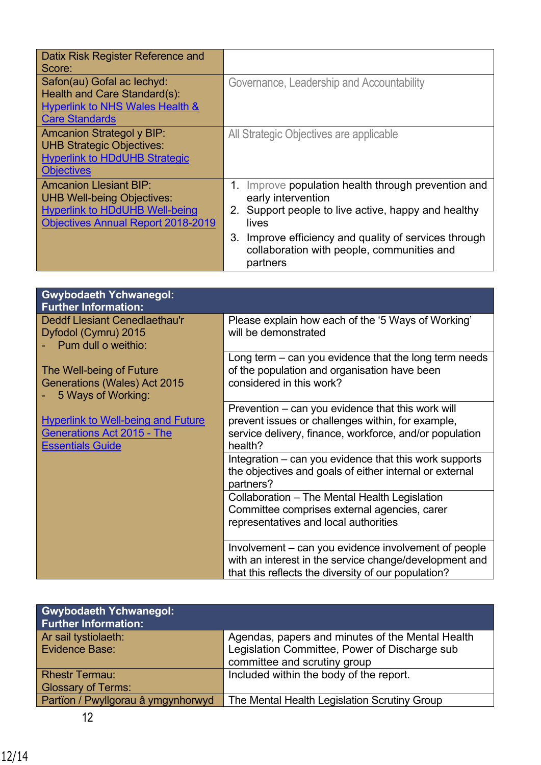| Datix Risk Register Reference and<br>Score:                                                                                                              |                                                                                                                                                                                                                                                                    |
|----------------------------------------------------------------------------------------------------------------------------------------------------------|--------------------------------------------------------------------------------------------------------------------------------------------------------------------------------------------------------------------------------------------------------------------|
| Safon(au) Gofal ac lechyd:<br>Health and Care Standard(s):<br><b>Hyperlink to NHS Wales Health &amp;</b><br><b>Care Standards</b>                        | Governance, Leadership and Accountability                                                                                                                                                                                                                          |
| <b>Amcanion Strategol y BIP:</b><br><b>UHB Strategic Objectives:</b><br><b>Hyperlink to HDdUHB Strategic</b><br><b>Objectives</b>                        | All Strategic Objectives are applicable                                                                                                                                                                                                                            |
| <b>Amcanion Llesiant BIP:</b><br><b>UHB Well-being Objectives:</b><br><b>Hyperlink to HDdUHB Well-being</b><br><b>Objectives Annual Report 2018-2019</b> | Improve population health through prevention and<br>1.<br>early intervention<br>2. Support people to live active, happy and healthy<br>lives<br>3.<br>Improve efficiency and quality of services through<br>collaboration with people, communities and<br>partners |

| <b>Gwybodaeth Ychwanegol:</b><br><b>Further Information:</b>                   |                                                                      |
|--------------------------------------------------------------------------------|----------------------------------------------------------------------|
| <b>Deddf Llesiant Cenedlaethau'r</b>                                           | Please explain how each of the '5 Ways of Working'                   |
| Dyfodol (Cymru) 2015<br>Pum dull o weithio:                                    | will be demonstrated                                                 |
|                                                                                | Long term $-$ can you evidence that the long term needs              |
| The Well-being of Future                                                       | of the population and organisation have been                         |
| Generations (Wales) Act 2015<br>5 Ways of Working:                             | considered in this work?                                             |
|                                                                                | Prevention – can you evidence that this work will                    |
| <b>Hyperlink to Well-being and Future</b><br><b>Generations Act 2015 - The</b> | prevent issues or challenges within, for example,                    |
| <b>Essentials Guide</b>                                                        | service delivery, finance, workforce, and/or population<br>health?   |
|                                                                                | Integration – can you evidence that this work supports               |
|                                                                                | the objectives and goals of either internal or external<br>partners? |
|                                                                                | Collaboration - The Mental Health Legislation                        |
|                                                                                | Committee comprises external agencies, carer                         |
|                                                                                | representatives and local authorities                                |
|                                                                                | Involvement - can you evidence involvement of people                 |
|                                                                                | with an interest in the service change/development and               |
|                                                                                | that this reflects the diversity of our population?                  |

| <b>Gwybodaeth Ychwanegol:</b><br><b>Further Information:</b> |                                                  |
|--------------------------------------------------------------|--------------------------------------------------|
| Ar sail tystiolaeth:                                         | Agendas, papers and minutes of the Mental Health |
| Evidence Base:                                               | Legislation Committee, Power of Discharge sub    |
|                                                              | committee and scrutiny group                     |
| <b>Rhestr Termau:</b>                                        | Included within the body of the report.          |
| <b>Glossary of Terms:</b>                                    |                                                  |
| Partïon / Pwyllgorau â ymgynhorwyd                           | The Mental Health Legislation Scrutiny Group     |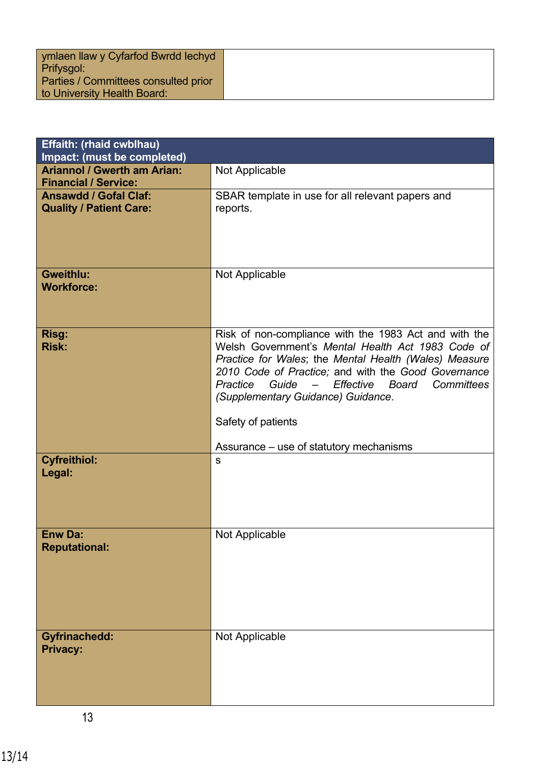| ymlaen llaw y Cyfarfod Bwrdd Iechyd  |  |
|--------------------------------------|--|
| Prifysgol:                           |  |
| Parties / Committees consulted prior |  |
| to University Health Board:          |  |

| Effaith: (rhaid cwblhau)<br>Impact: (must be completed)           |                                                                                                                                                                                                                                                                                                                                                                                                                 |
|-------------------------------------------------------------------|-----------------------------------------------------------------------------------------------------------------------------------------------------------------------------------------------------------------------------------------------------------------------------------------------------------------------------------------------------------------------------------------------------------------|
| <b>Ariannol / Gwerth am Arian:</b><br><b>Financial / Service:</b> | Not Applicable                                                                                                                                                                                                                                                                                                                                                                                                  |
| <b>Ansawdd / Gofal Claf:</b><br><b>Quality / Patient Care:</b>    | SBAR template in use for all relevant papers and<br>reports.                                                                                                                                                                                                                                                                                                                                                    |
| <b>Gweithlu:</b><br><b>Workforce:</b>                             | Not Applicable                                                                                                                                                                                                                                                                                                                                                                                                  |
| Risg:<br><b>Risk:</b>                                             | Risk of non-compliance with the 1983 Act and with the<br>Welsh Government's Mental Health Act 1983 Code of<br>Practice for Wales; the Mental Health (Wales) Measure<br>2010 Code of Practice; and with the Good Governance<br>Guide<br>Effective<br>Committees<br>Practice<br>Board<br>$\qquad \qquad -$<br>(Supplementary Guidance) Guidance.<br>Safety of patients<br>Assurance – use of statutory mechanisms |
| <b>Cyfreithiol:</b><br>Legal:                                     | S                                                                                                                                                                                                                                                                                                                                                                                                               |
| <b>Enw Da:</b><br><b>Reputational:</b>                            | Not Applicable                                                                                                                                                                                                                                                                                                                                                                                                  |
| <b>Gyfrinachedd:</b><br><b>Privacy:</b>                           | Not Applicable                                                                                                                                                                                                                                                                                                                                                                                                  |